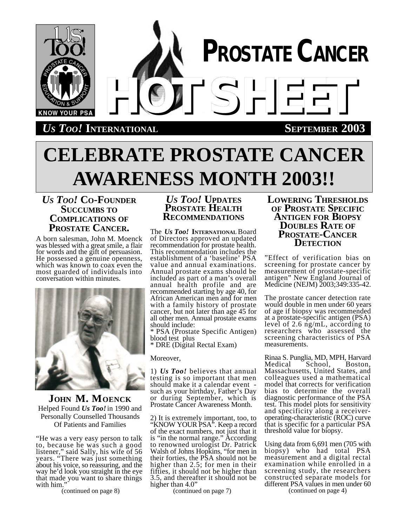

# **CELEBRATE PROSTATE CANCER AWARENESS MONTH 2003!!**

# *US TOO!* **CO-FOUNDER SUCCUMBS TO COMPLICATIONS OF PROSTATE CANCER.**

A born salesman, John M. Moenck was blessed with a great smile, a flair for words and the gift of persuasion. He possessed a genuine openness, which was known to coax even the most guarded of individuals into conversation within minutes.



**JOHN M. MOENCK** Helped Found *Us Too!* in 1990 and Personally Counselled Thousands Of Patients and Families

"He was a very easy person to talk to, because he was such a good listener," said Sally, his wife of 56 years. "There was just something about his voice, so reassuring, and the way he'd look you straight in the eye that made you want to share things with him.

# *US TOO!* **UPDATES PROSTATE HEALTH RECOMMENDATIONS**

The *Us Too!* **INTERNATIONAL** Board of Directors approved an updated recommendation for prostate health. This recommendation includes the establishment of a 'baseline' PSA value and annual examinations. Annual prostate exams should be included as part of a man's overall annual health profile and are recommended starting by age 40, for African American men and for men with a family history of prostate cancer, but not later than age 45 for all other men. Annual prostate exams should include:

\* PSA (Prostate Specific Antigen) blood test plus

\* DRE (Digital Rectal Exam)

Moreover,

1) *Us Too!* believes that annual testing is so important that men should make it a calendar event such as your birthday, Father's Day or during September, which is Prostate Cancer Awareness Month.

2) It is extremely important, too, to "KNOW YOUR PSA". Keep a record of the exact numbers, not just that it is "in the normal range." According to renowned urologist Dr. Patrick Walsh of Johns Hopkins, "for men in their forties, the PSA should not be higher than 2.5; for men in their fifties, it should not be higher than 3.5, and thereafter it should not be higher than 4.0"

(continued on page 8) (continued on page 7)

# **LOWERING THRESHOLDS OF PROSTATE SPECIFIC ANTIGEN FOR BIOPSY DOUBLES RATE OF PROSTATE-CANCER DETECTION**

"Effect of verification bias on screening for prostate cancer by measurement of prostate-specific antigen" New England Journal of Medicine (NEJM) 2003;349:335-42.

The prostate cancer detection rate would double in men under 60 years of age if biopsy was recommended at a prostate-specific antigen (PSA) level of 2.6 ng/mL, according to researchers who assessed the screening characteristics of PSA measurements.

Rinaa S. Punglia, MD, MPH, Harvard School, Massachusetts, United States, and colleagues used a mathematical model that corrects for verification bias to determine the overall diagnostic performance of the PSA test. This model plots for sensitivity and specificity along a receiveroperating-characteristic (ROC) curve that is specific for a particular PSA threshold value for biopsy.

Using data from 6,691 men (705 with biopsy) who had total PSA measurement and a digital rectal examination while enrolled in a screening study, the researchers constructed separate models for different PSA values in men under 60 (continued on page 4)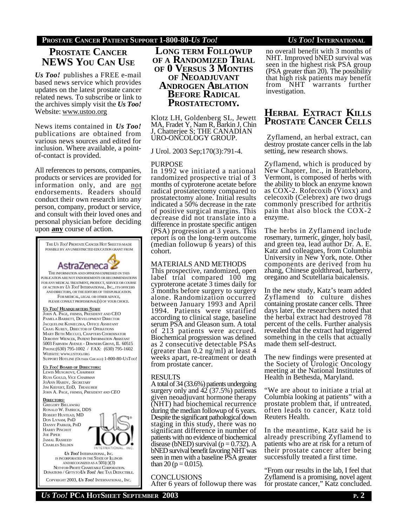# **PROSTATE CANCER PATIENT SUPPORT 1-800-80-***US TOO! US TOO!* **INTERNATIONAL**

**PROSTATE CANCER NEWS YOU CAN USE**

*Us Too!* publishes a FREE e-mail based news service which provides updates on the latest prostate cancer related news. To subscribe or link to the archives simply visit the *Us Too!* Website: www.ustoo.org

News items contained in *Us Too!* publications are obtained from various news sources and edited for inclusion. Where available, a pointof-contact is provided.

All references to persons, companies, products or services are provided for information only, and are not endorsements. Readers should conduct their own research into any person, company, product or service, and consult with their loved ones and personal physician before deciding upon **any** course of action.



 NOT-FOR-PROFIT CHARITABLE CORPORATION. DONATIONS / GIFTSTO *US TOO!* ARE TAX DEDUCTIBLE. COPYRIGHT 2003, *US TOO!* INTERNATIONAL, INC.

# **LONG TERM FOLLOWUP OF A RANDOMIZED TRIAL OF 0 VERSUS 3 MONTHS OF NEOADJUVANT ANDROGEN ABLATION BEFORE RADICAL PROSTATECTOMY.**

Klotz LH, Goldenberg SL, Jewett MA, Fradet Y, Nam R, Barkin J, Chin J, Chatterjee S; THE CANADIAN URO-ONCOLOGY GROUP.

J Urol. 2003 Sep;170(3):791-4.

#### PURPOSE

In 1992 we initiated a national randomized prospective trial of 3 months of cyproterone acetate before radical prostatectomy compared to prostatectomy alone. Initial results indicated a 50% decrease in the rate of positive surgical margins. This decrease did not translate into a difference in prostate specific antigen (PSA) progression at 3 years. This report is on the long-term outcome (median followup 6 years) of this cohort.

### MATERIALS AND METHODS

This prospective, randomized, open label trial compared 100 mg cyproterone acetate 3 times daily for 3 months before surgery to surgery alone. Randomization occurred between January 1993 and April 1994. Patients were stratified according to clinical stage, baseline serum PSA and Gleason sum. A total of 213 patients were accrued. Biochemical progression was defined as 2 consecutive detectable PSAs (greater than 0.2 ng/ml) at least 4 weeks apart, re-treatment or death from prostate cancer.

### RESULTS

A total of 34 (33.6%) patients undergoing surgery only and  $42$  (37.5%) patients given neoadjuvant hormone therapy (NHT) had biochemical recurrence during the median followup of 6 years. Despite the significant pathological down staging in this study, there was no significant difference in number of patients with no evidence of biochemical disease (bNED) survival ( $p = 0.732$ ). A bNED survival benefit favoring NHT was seen in men with a baseline PSA greater than 20 ( $p = 0.015$ ).

### **CONCLUSIONS**

After 6 years of followup there was

no overall benefit with 3 months of NHT. Improved bNED survival was seen in the highest risk PSA group (PSA greater than 20). The possibility that high risk patients may benefit<br>from NHT warrants further warrants further investigation.

# **HERBAL EXTRACT KILLS PROSTATE CANCER CELLS**

Zyflamend, an herbal extract, can destroy prostate cancer cells in the lab setting, new research shows.

Zyflamend, which is produced by New Chapter, Inc., in Brattleboro, Vermont, is composed of herbs with the ability to block an enzyme known as COX-2. Rofecoxib (Vioxx) and celecoxib (Celebrex) are two drugs commonly prescribed for arthritis pain that also block the COX-2 enzyme.

The herbs in Zyflamend include rosemary, turmeric, ginger, holy basil, and green tea, lead author Dr. A. E. Katz and colleagues, from Columbia University in New York, note. Other components are derived from hu zhang, Chinese goldthread, barberry, oregano and Scutellaria baicalensis.

In the new study, Katz's team added Zyflamend to culture dishes containing prostate cancer cells. Three days later, the researchers noted that the herbal extract had destroyed 78 percent of the cells. Further analysis revealed that the extract had triggered something in the cells that actually made them self-destruct.

The new findings were presented at the Society of Urologic Oncology meeting at the National Institutes of Health in Bethesda, Maryland.

"We are about to initiate a trial at Columbia looking at patients" with a prostate problem that, if untreated, often leads to cancer, Katz told Reuters Health.

In the meantime, Katz said he is already prescribing Zyflamend to patients who are at risk for a return of their prostate cancer after being successfully treated a first time.

"From our results in the lab, I feel that Zyflamend is a promising, novel agent for prostate cancer," Katz concluded.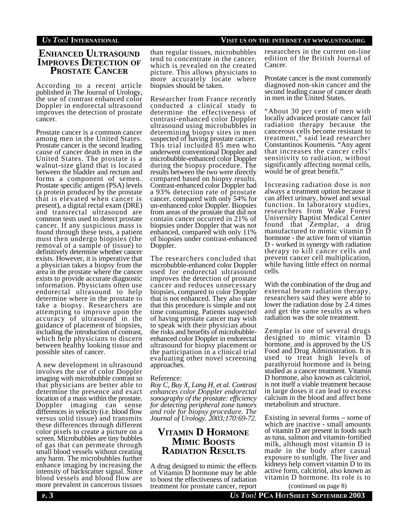# **ENHANCED ULTRASOUND IMPROVES DETECTION OF PROSTATE CANCER**

According to a recent article published in The Journal of Urology, the use of contrast enhanced color Doppler in endorectal ultrasound improves the detection of prostate cancer.

Prostate cancer is a common cancer among men in the United States. Prostate cancer is the second leading cause of cancer death in men in the United States. The prostate is a walnut-size gland that is located between the bladder and rectum and forms a component of semen. Prostate specific antigen (PSA) levels (a protein produced by the prostate that is elevated when cancer is present), a digital rectal exam (DRE) and transrectal ultrasound are common tests used to detect prostate cancer. If any suspicious mass is found through these tests, a patient must then undergo biopsies (the removal of a sample of tissue) to definitively determine whether cancer exists. However, it is imperative that a physician takes a biopsy from the area in the prostate where the cancer exists to provide accurate diagnostic information. Physicians often use endorectal ultrasound to help determine where in the prostate to take a biopsy. Researchers are attempting to improve upon the accuracy of ultrasound in the guidance of placement of biopsies, including the introduction of contrast, which help physicians to discern between healthy looking tissue and possible sites of cancer.

A new development in ultrasound involves the use of color Doppler imaging with microbubble contrast so that physicians are better able to determine the presence and exact location of a mass within the prostate. Doppler imaging can sense differences in velocity (i.e. blood flow versus solid tissue) and transmits these differences through different color pixels to create a picture on a screen. Microbubbles are tiny bubbles of gas that can permeate through small blood vessels without creating any harm. The microbubbles further enhance imaging by increasing the intensity of backscatter signal. Since blood vessels and blood flow are more prevalent in cancerous tissues

than regular tissues, microbubbles tend to concentrate in the cancer, which is revealed on the created picture. This allows physicians to more accurately locate where biopsies should be taken.

Researcher from France recently conducted a clinical study to determine the effectiveness of contrast-enhanced color Doppler ultrasound using microbubbles in determining biopsy sites in men suspected of having prostate cancer. This trial included 85 men who underwent conventional Doppler and microbubble-enhanced color Doppler during the biopsy procedure. The results between the two were directly compared based on biopsy results. Contrast-enhanced color Doppler had a 93% detection rate of prostate cancer, compared with only 54% for un-enhanced color Doppler. Biopsies from areas of the prostate that did not contain cancer occurred in 21% of biopsies under Doppler that was not enhanced, compared with only 11% of biopsies under contrast-enhanced Doppler.

The researchers concluded that microbubble-enhanced color Doppler used for endorectal ultrasound improves the detection of prostate cancer and reduces unnecessary biopsies, compared to color Doppler that is not enhanced. They also state that this procedure is simple and not time consuming. Patients suspected of having prostate cancer may wish to speak with their physician about the risks and benefits of microbubbleenhanced color Doppler in endorectal ultrasound for biopsy placement or the participation in a clinical trial evaluating other novel screening approaches.

#### Reference:

*Roy C, Buy X, Lang H, et al. Contrast enhances color Doppler endorectal sonography of the prostate: efficiency for detecting peripheral zone tumors and role for biopsy procedure. The Journal of Urology. 2003;170:69-72*.

# **VITAMIN D HORMONE MIMIC BOOSTS RADIATION RESULTS**

A drug designed to mimic the effects of Vitamin D hormone may be able to boost the effectiveness of radiation treatment for prostate cancer, report researchers in the current on-line edition of the British Journal of Cancer.

Prostate cancer is the most commonly diagnosed non-skin cancer and the second leading cause of cancer death in men in the United States.

"About 30 per cent of men with locally advanced prostate cancer fail radiation therapy because the cancerous cells become resistant to treatment," said lead researcher Constantinos Koumenis. "Any agent that increases the cancer cells' sensitivity to radiation, without significantly affecting normal cells, would be of great benefit."

Increasing radiation dose is not always a treatment option because it can affect urinary, bowel and sexual function. In laboratory studies, researchers from Wake Forest University Baptist Medical Center found that Zemplar, a drug manufactured to mimic vitamin D hormone - the active form of vitamin D - worked in synergy with radiation therapy to kill cancer cells and prevent cancer cell multiplication, while having little effect on normal cells.

With the combination of the drug and external beam radiation therapy, researchers said they were able to lower the radiation dose by 2.4 times and get the same results as when radiation was the sole treatment.

Zemplar is one of several drugs designed to mimic vitamin D hormone, and is approved by the US Food and Drug Administration. It is used to treat high levels of parathyroid hormone and is being studied as a cancer treatment. Vitamin D hormone, also known as calcitriol, is not itself a viable treatment because in large doses it can lead to excess calcium in the blood and affect bone metabolism and structure.

Existing in several forms – some of which are inactive - small amounts of vitamin D are present in foods such as tuna, salmon and vitamin-fortified milk, although most vitamin D is made in the body after casual exposure to sunlight. The liver and kidneys help convert vitamin D to its active form, calcitriol, also known as vitamin D hormone. Its role is to

(continued on page 8)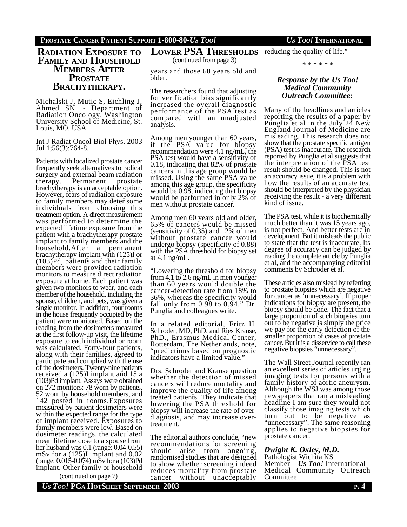# **RADIATION EXPOSURE TO FAMILY AND HOUSEHOLD MEMBERS AFTER PROSTATE BRACHYTHERAPY.**

Michalski J, Mutic S, Eichling J, Ahmed SN. - Department of Radiation Oncology, Washington University School of Medicine, St. Louis, MO, USA

Int J Radiat Oncol Biol Phys. 2003 Jul 1;56(3):764-8.

Patients with localized prostate cancer frequently seek alternatives to radical surgery and external beam radiation therapy. Permanent prostate brachytherapy is an acceptable option. However, fears of radiation exposure to family members may deter some individuals from choosing this treatment option. A direct measurement was performed to determine the expected lifetime exposure from the patient with a brachytherapy prostate implant to family members and the household.After a permanent brachytherapy implant with (125)I or (103)Pd, patients and their family members were provided radiation monitors to measure direct radiation exposure at home. Each patient was given two monitors to wear, and each member of the household, including the spouse, children, and pets, was given a single monitor. In addition, four rooms in the house frequently occupied by the patient were monitored. Based on the reading from the dosimeters measured at the first follow-up visit, the lifetime exposure to each individual or room was calculated. Forty-four patients, along with their families, agreed to participate and complied with the use of the dosimeters. Twenty-nine patients received a (125)I implant and 15 a (103)Pd implant. Assays were obtained on 272 monitors: 78 worn by patients, 52 worn by household members, and 142 posted in rooms.Exposures measured by patient dosimeters were within the expected range for the type of implant received. Exposures to family members were low. Based on dosimeter readings, the calculated mean lifetime dose to a spouse from her husband was 0.1 (range: 0.04-0.55) mSv for a (125)I implant and 0.02 (range: 0.015-0.074) mSv for a (103)Pd implant. Other family or household

(continued on page 7)

**LOWER PSA THRESHOLDS** reducing the quality of life." (continued from page 3)

years and those 60 years old and older.

The researchers found that adjusting for verification bias significantly increased the overall diagnostic performance of the PSA test as compared with an unadjusted analysis.

Among men younger than 60 years, if the PSA value for biopsy recommendation were 4.1 ng/mL, the PSA test would have a sensitivity of 0.18, indicating that 82% of prostate cancers in this age group would be missed. Using the same PSA value among this age group, the specificity would be 0.98, indicating that biopsy would be performed in only 2% of men without prostate cancer.

Among men 60 years old and older, 65% of cancers would be missed (sensitivity of 0.35) and 12% of men without prostate cancer would undergo biopsy (specificity of 0.88) with the PSA threshold for biopsy set at 4.1 ng/mL.

"Lowering the threshold for biopsy from 4.1 to 2.6 ng/mL in men younger than 60 years would double the cancer-detection rate from 18% to 36%, whereas the specificity would fall only from  $0.98$  to  $0.94$ ," Dr. Punglia and colleagues write.

In a related editorial, Fritz H. Schroder, MD, PhD, and Ries Kranse, PhD., Erasmus Medical Center, Rotterdam, The Netherlands, note, "predictions based on prognostic indicators have a limited value."

Drs. Schroder and Kranse question whether the detection of missed cancers will reduce mortality and improve the quality of life among treated patients. They indicate that lowering the PSA threshold for biopsy will increase the rate of overdiagnosis, and may increase overtreatment.

The editorial authors conclude, "new recommendations for screening should arise from ongoing, randomised studies that are designed to show whether screening indeed reduces mortality from prostate cancer without unacceptably

# *Response by the Us Too! Medical Community Outreach Committee:*

Many of the headlines and articles reporting the results of a paper by Punglia et al in the July 24 New England Journal of Medicine are misleading. This research does not show that the prostate specific antigen (PSA) test is inaccurate. The research reported by Punglia et al suggests that the interpretation of the PSA test result should be changed. This is not an accuracy issue, it is a problem with how the results of an accurate test should be interpreted by the physician receiving the result - a very different kind of issue.

The PSA test, while it is biochemically much better than it was 15 years ago, is not perfect. And better tests are in development. But it misleads the public to state that the test is inaccurate. Its degree of accuracy can be judged by reading the complete article by Punglia et al, and the accompanying editorial comments by Schroder et al.

These articles also mislead by referring to prostate biopsies which are negative for cancer as 'unnecessary'. If proper indications for biopsy are present, the biopsy should be done. The fact that a large proportion of such biopsies turn out to be negative is simply the price we pay for the early detection of the smaller proportion of cases of prostate cancer. But it is a disservice to call these negative biopsies "unnecessary".

The Wall Street Journal recently ran an excellent series of articles urging imaging tests for persons with a family history of aortic aneurysm. Although the WSJ was among those newspapers that ran a misleading headline I am sure they would not classify those imaging tests which turn out to be negative as "unnecessary". The same reasoning applies to negative biopsies for prostate cancer.

*Dwight K. Oxley, M.D.* Pathologist Wichita KS

Member - *Us Too!* International - Medical Community Outreach Committee

<sup>\* \* \* \* \* \*</sup>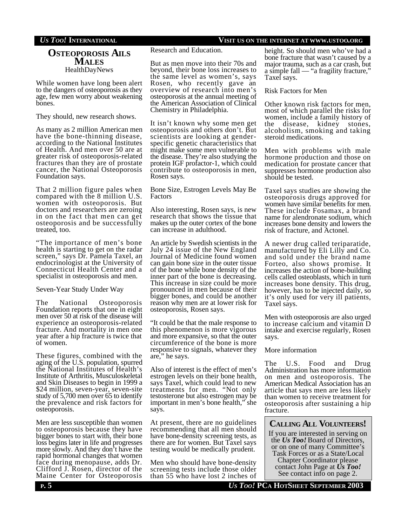### **OSTEOPOROSIS AILS MALES** HealthDayNews

While women have long been alert to the dangers of osteoporosis as they age, few men worry about weakening bones.

They should, new research shows.

As many as 2 million American men have the bone-thinning disease, according to the National Institutes of Health. And men over 50 are at greater risk of osteoporosis-related fractures than they are of prostate cancer, the National Osteoporosis Foundation says.

That 2 million figure pales when compared with the 8 million U.S. women with osteoporosis. But doctors and researchers are zeroing in on the fact that men can get osteoporosis and be successfully treated, too.

"The importance of men's bone health is starting to get on the radar screen," says Dr. Pamela Taxel, an endocrinologist at the University of Connecticut Health Center and a specialist in osteoporosis and men.

Seven-Year Study Under Way

The National Osteoporosis Foundation reports that one in eight men over 50 at risk of the disease will experience an osteoporosis-related fracture. And mortality in men one year after a hip fracture is twice that of women.

These figures, combined with the aging of the U.S. population, spurred the National Institutes of Health's Institute of Arthritis, Musculoskeletal and Skin Diseases to begin in 1999 a \$24 million, seven-year, seven-site study of 5,700 men over 65 to identify the prevalence and risk factors for osteoporosis.

Men are less susceptible than women to osteoporosis because they have bigger bones to start with, their bone loss begins later in life and progresses more slowly. And they don't have the rapid hormonal changes that women face during menopause, adds Dr. Clifford J. Rosen, director of the Maine Center for Osteoporosis

Research and Education.

But as men move into their 70s and beyond, their bone loss increases to the same level as women's, says Rosen, who recently gave an overview of research into men's osteoporosis at the annual meeting of the American Association of Clinical Chemistry in Philadelphia.

It isn't known why some men get osteoporosis and others don't. But scientists are looking at genderspecific genetic characteristics that might make some men vulnerable to the disease. They're also studying the protein IGF profactor-1, which could contribute to osteoporosis in men, Rosen says.

Bone Size, Estrogen Levels May Be Factors

Also interesting, Rosen says, is new research that shows the tissue that makes up the outer cortex of the bone can increase in adulthood.

An article by Swedish scientists in the July 24 issue of the New England Journal of Medicine found women can gain bone size in the outer tissue of the bone while bone density of the inner part of the bone is decreasing. This increase in size could be more pronounced in men because of their bigger bones, and could be another reason why men are at lower risk for osteoporosis, Rosen says.

"It could be that the male response to this phenomenon is more vigorous and more expansive, so that the outer circumference of the bone is more responsive to signals, whatever they are," he says.

Also of interest is the effect of men's estrogen levels on their bone health, says Taxel, which could lead to new treatments for men. "Not only testosterone but also estrogen may be important in men's bone health," she says.

At present, there are no guidelines recommending that all men should have bone-density screening tests, as there are for women. But Taxel says testing would be medically prudent.

Men who should have bone-density screening tests include those older than 55 who have lost 2 inches of height. So should men who've had a bone fracture that wasn't caused by a major trauma, such as a car crash, but a simple fall — "a fragility fracture," Taxel says.

#### Risk Factors for Men

Other known risk factors for men, most of which parallel the risks for women, include a family history of the disease, kidney stones, alcoholism, smoking and taking steroid medications.

Men with problems with male hormone production and those on medication for prostate cancer that suppresses hormone production also should be tested.

Taxel says studies are showing the osteoporosis drugs approved for women have similar benefits for men. These include Fosamax, a brand name for alendronate sodium, which increases bone density and lowers the risk of fracture, and Actonel.

A newer drug called teriparatide, manufactured by Eli Lilly and Co. and sold under the brand name Forteo, also shows promise. It increases the action of bone-building cells called osteoblasts, which in turn increases bone density. This drug, however, has to be injected daily, so it's only used for very ill patients, Taxel says.

Men with osteoporosis are also urged to increase calcium and vitamin D intake and exercise regularly, Rosen says.

#### More information

The U.S. Food and Drug Administration has more information on men and osteoporosis. The American Medical Association has an article that says men are less likely than women to receive treatment for osteoporosis after sustaining a hip fracture.

# **CALLING ALL VOLUNTEERS!**

If you are interested in serving on the *Us Too!* Board of Directors, or on one of many Committee's Task Forces or as a State/Local Chapter Coordinator please contact John Page at *Us Too!* See contact info on page 2.

# *US TOO!* **INTERNATIONAL VISIT US ON THE INTERNET AT WWW.USTOO.ORG**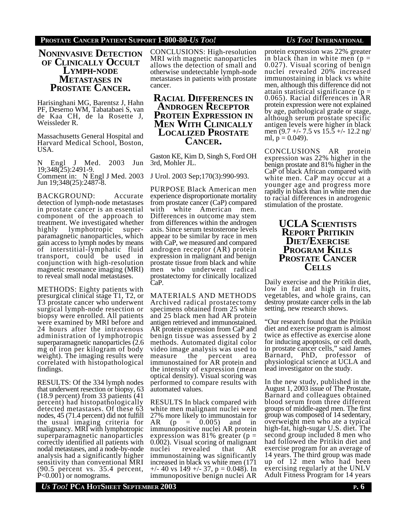#### **PROSTATE CANCER PATIENT SUPPORT 1-800-80-***US TOO! US TOO!* **INTERNATIONAL**

**NONINVASIVE DETECTION OF CLINICALLY OCCULT LYMPH-NODE METASTASES IN PROSTATE CANCER.**

Harisinghani MG, Barentsz J, Hahn PF, Deserno WM, Tabatabaei S, van de Kaa CH, de la Rosette J, Weissleder R.

Massachusetts General Hospital and Harvard Medical School, Boston, USA.

N Engl J Med. 2003 Jun 19;348(25):2491-9. Comment in: N Engl J Med. 2003 Jun 19;348(25):2487-8.

BACKGROUND: Accurate detection of lymph-node metastases in prostate cancer is an essential component of the approach to treatment. We investigated whether highly lymphotropic superparamagnetic nanoparticles, which gain access to lymph nodes by means of interstitial-lymphatic fluid transport, could be used in conjunction with high-resolution magnetic resonance imaging (MRI) to reveal small nodal metastases.

METHODS: Eighty patients with presurgical clinical stage T1, T2, or T3 prostate cancer who underwent surgical lymph-node resection or biopsy were enrolled. All patients were examined by MRI before and 24 hours after the intravenous administration of lymphotropic superparamagnetic nanoparticles (2.6 mg of iron per kilogram of body weight). The imaging results were correlated with histopathological findings.

RESULTS: Of the 334 lymph nodes that underwent resection or biopsy, 63 (18.9 percent) from 33 patients (41 percent) had histopathologically detected metastases. Of these 63 nodes, 45 (71.4 percent) did not fulfill the usual imaging criteria for malignancy. MRI with lymphotropic superparamagnetic nanoparticles correctly identified all patients with nodal metastases, and a node-by-node analysis had a significantly higher sensitivity than conventional MRI (90.5 percent vs. 35.4 percent, P<0.001) or nomograms.

CONCLUSIONS: High-resolution MRI with magnetic nanoparticles allows the detection of small and otherwise undetectable lymph-node metastases in patients with prostate cancer.

**RACIAL DIFFERENCES IN ANDROGEN RECEPTOR PROTEIN EXPRESSION IN MEN WITH CLINICALLY LOCALIZED PROSTATE CANCER.**

Gaston KE, Kim D, Singh S, Ford OH 3rd, Mohler JL.

J Urol. 2003 Sep;170(3):990-993.

PURPOSE Black American men experience disproportionate mortality from prostate cancer (CaP) compared<br>with white American men white American men. Differences in outcome may stem from differences within the androgen axis. Since serum testosterone levels appear to be similar by race in men with CaP, we measured and compared androgen receptor (AR) protein expression in malignant and benign prostate tissue from black and white men who underwent radical prostatectomy for clinically localized CaP.

MATERIALS AND METHODS Archived radical prostatectomy specimens obtained from 25 white and 25 black men had AR protein antigen retrieved and immunostained. AR protein expression from CaP and benign tissue was assessed by 2 methods. Automated digital color video image analysis was used to measure the percent area immunostained for AR protein and the intensity of expression (mean optical density). Visual scoring was performed to compare results with automated values.

RESULTS In black compared with white men malignant nuclei were 27% more likely to immunostain for AR  $(p = 0.005)$  and in immunopositive nuclei AR protein expression was  $81\%$  greater (p = 0.002). Visual scoring of malignant nuclei revealed that AR immunostaining was significantly increased in black vs white men (171  $+/- 40$  vs  $149 +/- 37$ ,  $p = 0.048$ ). In immunopositive benign nuclei AR

protein expression was 22% greater in black than in white men  $(p =$ 0.027). Visual scoring of benign

nuclei revealed 20% increased immunostaining in black vs white men, although this difference did not attain statistical significance ( $p =$ 0.065). Racial differences in AR protein expression were not explained by age, pathological grade or stage, although serum prostate specific antigen levels were higher in black men (9.7 +/- 7.5 vs 15.5 +/- 12.2 ng/ ml,  $p = 0.049$ ).

CONCLUSIONS AR protein expression was 22% higher in the benign prostate and 81% higher in the CaP of black African compared with white men. CaP may occur at a younger age and progress more rapidly in black than in white men due to racial differences in androgenic stimulation of the prostate.

# **UCLA SCIENTISTS REPORT PRITIKIN DIET/EXERCISE PROGRAM KILLS PROSTATE CANCER CELLS**

Daily exercise and the Pritikin diet, low in fat and high in fruits, vegetables, and whole grains, can destroy prostate cancer cells in the lab setting, new research shows.

"Our research found that the Pritikin diet and exercise program is almost twice as effective as exercise alone for inducing apoptosis, or cell death, in prostate cancer cells," said James Barnard, PhD, professor of physiological science at UCLA and lead investigator on the study.

In the new study, published in the August 1, 2003 issue of The Prostate, Barnard and colleagues obtained blood serum from three different groups of middle-aged men. The first group was composed of 14 sedentary, overweight men who ate a typical high-fat, high-sugar U.S. diet. The second group included 8 men who had followed the Pritikin diet and exercise program for an average of 14 years. The third group was made up of 12 men who had been exercising regularly at the UNLV Adult Fitness Program for 14 years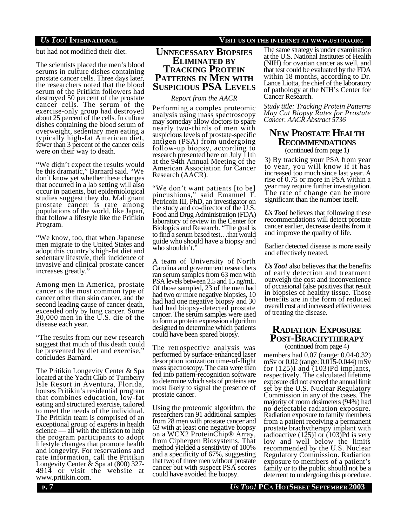but had not modified their diet.

The scientists placed the men's blood serums in culture dishes containing prostate cancer cells. Three days later, the researchers noted that the blood serum of the Pritikin followers had destroyed 50 percent of the prostate cancer cells. The serum of the exercise-only group had destroyed about 25 percent of the cells. In culture dishes containing the blood serum of overweight, sedentary men eating a typically high-fat American diet, fewer than 3 percent of the cancer cells were on their way to death.

"We didn't expect the results would be this dramatic," Barnard said. "We don't know yet whether these changes that occurred in a lab setting will also occur in patients, but epidemiological studies suggest they do. Malignant prostate cancer is rare among populations of the world, like Japan, that follow a lifestyle like the Pritikin Program.

"We know, too, that when Japanese men migrate to the United States and adopt this country's high-fat diet and sedentary lifestyle, their incidence of invasive and clinical prostate cancer increases greatly."

Among men in America, prostate cancer is the most common type of cancer other than skin cancer, and the second leading cause of cancer death, exceeded only by lung cancer. Some 30,000 men in the U.S. die of the disease each year.

"The results from our new research suggest that much of this death could be prevented by diet and exercise," concludes Barnard.

The Pritikin Longevity Center & Spa located at the Yacht Club of Turnberry Isle Resort in Aventura, Florida, houses Pritikin's residential program that combines education, low-fat eating and structured exercise, tailored to meet the needs of the individual. The Pritikin team is comprised of an exceptional group of experts in health science — all with the mission to help the program participants to adopt lifestyle changes that promote health and longevity. For reservations and rate information, call the Pritikin Longevity Center & Spa at (800) 327- 4914 or visit the website at www.pritikin.com.

# **UNNECESSARY BIOPSIES ELIMINATED BY TRACKING PROTEIN PATTERNS IN MEN WITH SUSPICIOUS PSA LEVELS**

#### *Report from the AACR*

Performing a complex proteomic analysis using mass spectroscopy may someday allow doctors to spare nearly two-thirds of men with suspicious levels of prostate-specific antigen (PSA) from undergoing follow-up biopsy, according to research presented here on July 11th at the 94th Annual Meeting of the American Association for Cancer Research (AACR).

"We don't want patients [to be] pincushions," said Emanuel F. Petricoin III, PhD, an investigator on the study and co-director of the U.S. Food and Drug Administration (FDA) laboratory of review in the Center for Biologics and Research. "The goal is to find a serum based test…that would guide who should have a biopsy and who shouldn't."

A team of University of North Carolina and government researchers ran serum samples from 63 men with PSA levels between 2.5 and 15 ng/mL. Of those sampled, 23 of the men had had two or more negative biopsies, 10 had had one negative biopsy and 30 had had biopsy-detected prostate cancer. The serum samples were used to form a protein expression algorithm designed to determine which patients could have been spared biopsy.

The retrospective analysis was performed by surface-enhanced laser desorption ionization time-of-flight mass spectroscopy. The data were then fed into pattern-recognition software to determine which sets of proteins are most likely to signal the presence of prostate cancer.

Using the proteomic algorithm, the researchers ran 91 additional samples from 28 men with prostate cancer and 63 with at least one negative biopsy on a WCX2 ProteinChip® Array, from Ciphergen Biosystems. That method yielded a sensitivity of 100% and a specificity of 67%, suggesting that two of three men without prostate cancer but with suspect PSA scores could have avoided the biopsy.

### *US TOO!* **INTERNATIONAL VISIT US ON THE INTERNET AT WWW.USTOO.ORG**

The same strategy is under examination at the U.S. National Institutes of Health (NIH) for ovarian cancer as well, and that test could be evaluated by the FDA within 18 months, according to Dr. Lance Liotta, the chief of the laboratory of pathology at the NIH's Center for Cancer Research.

*Study title: Tracking Protein Patterns May Cut Biopsy Rates for Prostate Cancer. AACR Abstract 5736*

# **NEW PROSTATE HEALTH RECOMMENDATIONS**

(continued from page 1)

3) By tracking your PSA from year to year, you will know if it has increased too much since last year. A rise of 0.75 or more in PSA within a year may require further investigation. The rate of change can be more significant than the number itself.

*Us Too!* believes that following these recommendations will detect prostate cancer earlier, decrease deaths from it and improve the quality of life.

Earlier detected disease is more easily and effectively treated.

*Us Too!* also believes that the benefits of early detection and treatment outweigh the cost and inconvenience of occasional false positives that result in biopsies of healthy tissue. Those benefits are in the form of reduced overall cost and increased effectiveness of treating the disease.

# **RADIATION EXPOSURE POST-BRACHYTHERAPY**

members had 0.07 (range: 0.04-0.32) mSv or 0.02 (range: 0.015-0.044) mSv for (125)I and (103)Pd implants, respectively. The calculated lifetime exposure did not exceed the annual limit set by the U.S. Nuclear Regulatory Commission in any of the cases. The majority of room dosimeters (94%) had no detectable radiation exposure. Radiation exposure to family members from a patient receiving a permanent prostate brachytherapy implant with radioactive  $(125)$ I or  $(103)$ Pd is very low and well below the limits recommended by the U.S. Nuclear Regulatory Commission. Radiation exposure to members of a patient's family or to the public should not be a deterrent to undergoing this procedure. (continued from page 4)